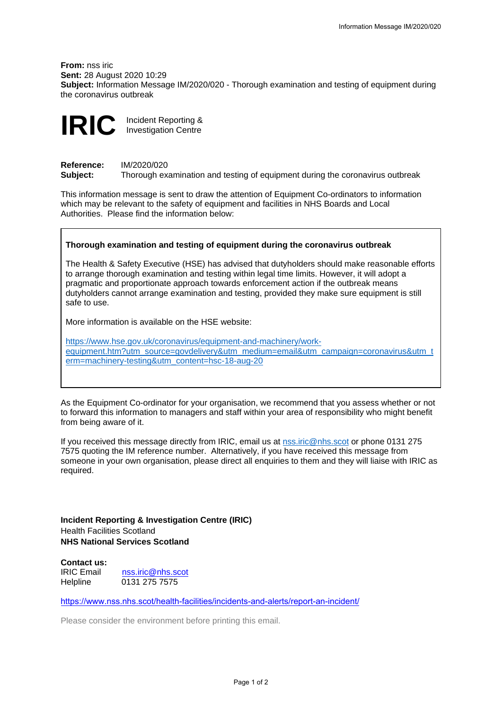**From:** nss iric **Sent:** 28 August 2020 10:29 **Subject:** Information Message IM/2020/020 - Thorough examination and testing of equipment during the coronavirus outbreak



**Reference:** IM/2020/020<br>**Subject:** Thorough ex **Subject:** Thorough examination and testing of equipment during the coronavirus outbreak

This information message is sent to draw the attention of Equipment Co-ordinators to information which may be relevant to the safety of equipment and facilities in NHS Boards and Local Authorities. Please find the information below:

## **Thorough examination and testing of equipment during the coronavirus outbreak**

The Health & Safety Executive (HSE) has advised that dutyholders should make reasonable efforts to arrange thorough examination and testing within legal time limits. However, it will adopt a pragmatic and proportionate approach towards enforcement action if the outbreak means dutyholders cannot arrange examination and testing, provided they make sure equipment is still safe to use.

More information is available on the HSE website:

[https://www.hse.gov.uk/coronavirus/equipment-and-machinery/work](https://www.hse.gov.uk/coronavirus/equipment-and-machinery/work-equipment.htm?utm_source=govdelivery&utm_medium=email&utm_campaign=coronavirus&utm_term=machinery-testing&utm_content=hsc-18-aug-20)[equipment.htm?utm\\_source=govdelivery&utm\\_medium=email&utm\\_campaign=coronavirus&utm\\_t](https://www.hse.gov.uk/coronavirus/equipment-and-machinery/work-equipment.htm?utm_source=govdelivery&utm_medium=email&utm_campaign=coronavirus&utm_term=machinery-testing&utm_content=hsc-18-aug-20) [erm=machinery-testing&utm\\_content=hsc-18-aug-20](https://www.hse.gov.uk/coronavirus/equipment-and-machinery/work-equipment.htm?utm_source=govdelivery&utm_medium=email&utm_campaign=coronavirus&utm_term=machinery-testing&utm_content=hsc-18-aug-20)

As the Equipment Co-ordinator for your organisation, we recommend that you assess whether or not to forward this information to managers and staff within your area of responsibility who might benefit from being aware of it.

If you received this message directly from IRIC, email us at [nss.iric@nhs.scot](mailto:nss.iric@nhs.scot) or phone 0131 275 7575 quoting the IM reference number.Alternatively, if you have received this message from someone in your own organisation, please direct all enquiries to them and they will liaise with IRIC as required.

**Incident Reporting & Investigation Centre (IRIC)** Health Facilities Scotland **NHS National Services Scotland**

**Contact us:** IRIC Email [nss.iric@nhs.scot](mailto:nss.iric@nhs.scot)<br>Helpline 0131 275 7575 0131 275 7575

<https://www.nss.nhs.scot/health-facilities/incidents-and-alerts/report-an-incident/>

Please consider the environment before printing this email.